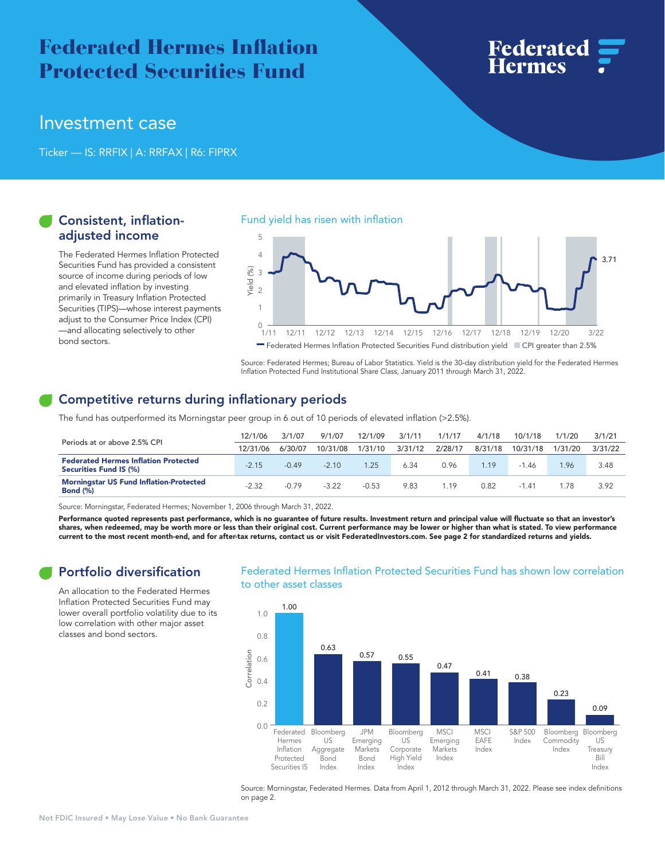# **Federated Hermes Inflation** Protected Securities Fund



## Investment case

Ticker — IS: RRFIX | A: RRFAX | R6: FIPRX

### Consistent, inflationadjusted income

The Federated Hermes Inflation Protected Securities Fund has provided a consistent source of income during periods of low and elevated inflation by investing primarily in Treasury Inflation Protected Securities (TIPS)—whose interest payments adjust to the Consumer Price Index (CPI) —and allocating selectively to other bond sectors.

#### Fund yield has risen with inflation



Source: Federated Hermes; Bureau of Labor Statistics. Yield is the 30-day distribution yield for the Federated Hermes Inflation Protected Fund Institutional Share Class, January 2011 through March 31, 2022.

## Competitive returns during inflationary periods

The fund has outperformed its Morningstar peer group in 6 out of 10 periods of elevated inflation (>2.5%).

| Periods at or above 2.5% CPI                                          | 12/1/06  | 3/1/07  | 9/1/07   | 12/1/09 | 3/1/11  | 1/1/17  | 4/1/18  | 10/1/18  | 1/1/20  | 3/1/21  |
|-----------------------------------------------------------------------|----------|---------|----------|---------|---------|---------|---------|----------|---------|---------|
|                                                                       | 12/31/06 | 6/30/07 | 10/31/08 | 1/31/10 | 3/31/12 | 2/28/17 | 8/31/18 | 10/31/18 | 1/31/20 | 3/31/22 |
| <b>Federated Hermes Inflation Protected</b><br>Securities Fund IS (%) | $-2.15$  | $-0.49$ | $-2.10$  | .25     | 6.34    | 0.96    | 1.19    | 1.46     | .96     | 3.48    |
| <b>Morningstar US Fund Inflation-Protected</b><br><b>Bond (%)</b>     | $-2.32$  | $-0.79$ | $-3.22$  | $-0.53$ | 9.83    | 1.19    | 0.82    | $-1.41$  | 78      | 3.92    |

Source: Morningstar, Federated Hermes; November 1, 2006 through March 31, 2022.

Performance quoted represents past performance, which is no guarantee of future results. Investment return and principal value will fluctuate so that an investor's shares, when redeemed, may be worth more or less than their original cost. Current performance may be lower or higher than what is stated. To view performance current to the most recent month-end, and for after-tax returns, contact us or visit [FederatedInvestors.com.](https://FederatedInvestors.com) See page 2 for standardized returns and yields.

## Portfolio diversification

An allocation to the Federated Hermes Inflation Protected Securities Fund may lower overall portfolio volatility due to its low correlation with other major asset classes and bond sectors.

#### Federated Hermes Inflation Protected Securities Fund has shown low correlation to other asset classes



Source: Morningstar, Federated Hermes. Data from April 1, 2012 through March 31, 2022. Please see index definitions on page 2.